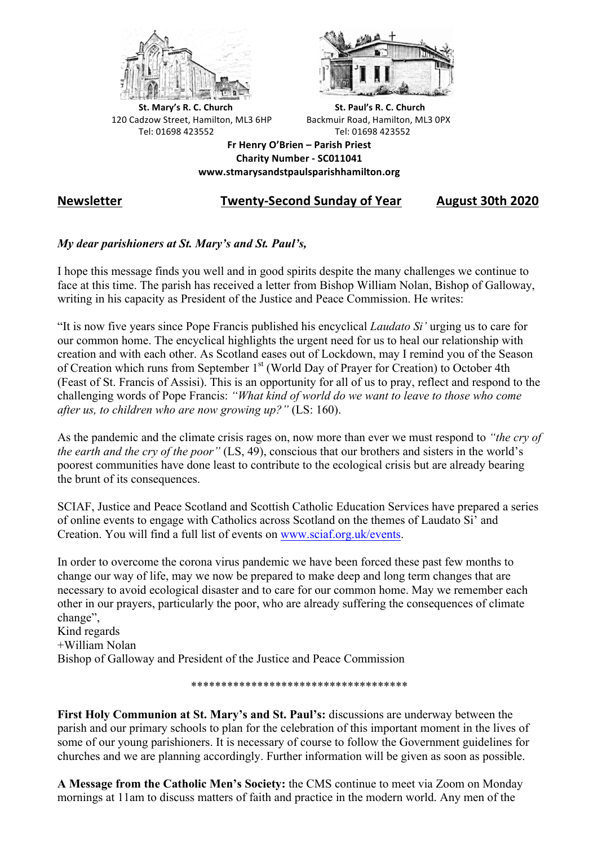



**St.** Mary's R. C. Church St. Paul's R. C. Church 120 Cadzow Street, Hamilton, ML3 6HP Backmuir Road, Hamilton, ML3 0PX Tel: 01698 423552 Tel: 01698 423552

**Fr Henry O'Brien – Parish Priest Charity Number - SC011041 www.stmarysandstpaulsparishhamilton.org**

## **Newsletter Twenty-Second Sunday of Year August 30th 2020**

## *My dear parishioners at St. Mary's and St. Paul's,*

I hope this message finds you well and in good spirits despite the many challenges we continue to face at this time. The parish has received a letter from Bishop William Nolan, Bishop of Galloway, writing in his capacity as President of the Justice and Peace Commission. He writes:

"It is now five years since Pope Francis published his encyclical *Laudato Si'* urging us to care for our common home. The encyclical highlights the urgent need for us to heal our relationship with creation and with each other. As Scotland eases out of Lockdown, may I remind you of the Season of Creation which runs from September 1<sup>st</sup> (World Day of Prayer for Creation) to October 4th (Feast of St. Francis of Assisi). This is an opportunity for all of us to pray, reflect and respond to the challenging words of Pope Francis: *"What kind of world do we want to leave to those who come after us, to children who are now growing up?"* (LS: 160).

As the pandemic and the climate crisis rages on, now more than ever we must respond to *"the cry of the earth and the cry of the poor"* (LS, 49), conscious that our brothers and sisters in the world's poorest communities have done least to contribute to the ecological crisis but are already bearing the brunt of its consequences.

SCIAF, Justice and Peace Scotland and Scottish Catholic Education Services have prepared a series of online events to engage with Catholics across Scotland on the themes of Laudato Si' and Creation. You will find a full list of events on www.sciaf.org.uk/events.

In order to overcome the corona virus pandemic we have been forced these past few months to change our way of life, may we now be prepared to make deep and long term changes that are necessary to avoid ecological disaster and to care for our common home. May we remember each other in our prayers, particularly the poor, who are already suffering the consequences of climate change", Kind regards +William Nolan Bishop of Galloway and President of the Justice and Peace Commission

\*\*\*\*\*\*\*\*\*\*\*\*\*\*\*\*\*\*\*\*\*\*\*\*\*\*\*\*\*\*\*\*\*\*\*\*

**First Holy Communion at St. Mary's and St. Paul's:** discussions are underway between the parish and our primary schools to plan for the celebration of this important moment in the lives of some of our young parishioners. It is necessary of course to follow the Government guidelines for churches and we are planning accordingly. Further information will be given as soon as possible.

**A Message from the Catholic Men's Society:** the CMS continue to meet via Zoom on Monday mornings at 11am to discuss matters of faith and practice in the modern world. Any men of the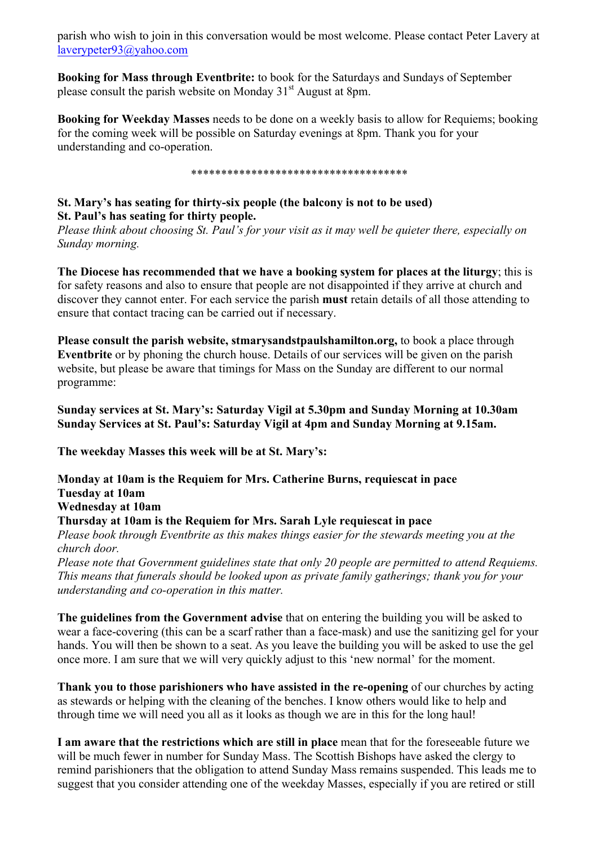parish who wish to join in this conversation would be most welcome. Please contact Peter Lavery at laverypeter93@yahoo.com

**Booking for Mass through Eventbrite:** to book for the Saturdays and Sundays of September please consult the parish website on Monday  $31<sup>st</sup>$  August at 8pm.

**Booking for Weekday Masses** needs to be done on a weekly basis to allow for Requiems; booking for the coming week will be possible on Saturday evenings at 8pm. Thank you for your understanding and co-operation.

\*\*\*\*\*\*\*\*\*\*\*\*\*\*\*\*\*\*\*\*\*\*\*\*\*\*\*\*\*\*\*\*\*\*\*\*

## **St. Mary's has seating for thirty-six people (the balcony is not to be used) St. Paul's has seating for thirty people.**

*Please think about choosing St. Paul's for your visit as it may well be quieter there, especially on Sunday morning.*

**The Diocese has recommended that we have a booking system for places at the liturgy**; this is for safety reasons and also to ensure that people are not disappointed if they arrive at church and discover they cannot enter. For each service the parish **must** retain details of all those attending to ensure that contact tracing can be carried out if necessary.

**Please consult the parish website, stmarysandstpaulshamilton.org,** to book a place through **Eventbrite** or by phoning the church house. Details of our services will be given on the parish website, but please be aware that timings for Mass on the Sunday are different to our normal programme:

**Sunday services at St. Mary's: Saturday Vigil at 5.30pm and Sunday Morning at 10.30am Sunday Services at St. Paul's: Saturday Vigil at 4pm and Sunday Morning at 9.15am.**

**The weekday Masses this week will be at St. Mary's:**

**Monday at 10am is the Requiem for Mrs. Catherine Burns, requiescat in pace Tuesday at 10am Wednesday at 10am Thursday at 10am is the Requiem for Mrs. Sarah Lyle requiescat in pace** *Please book through Eventbrite as this makes things easier for the stewards meeting you at the* 

*church door.*

*Please note that Government guidelines state that only 20 people are permitted to attend Requiems. This means that funerals should be looked upon as private family gatherings; thank you for your understanding and co-operation in this matter.*

**The guidelines from the Government advise** that on entering the building you will be asked to wear a face-covering (this can be a scarf rather than a face-mask) and use the sanitizing gel for your hands. You will then be shown to a seat. As you leave the building you will be asked to use the gel once more. I am sure that we will very quickly adjust to this 'new normal' for the moment.

**Thank you to those parishioners who have assisted in the re-opening** of our churches by acting as stewards or helping with the cleaning of the benches. I know others would like to help and through time we will need you all as it looks as though we are in this for the long haul!

**I am aware that the restrictions which are still in place** mean that for the foreseeable future we will be much fewer in number for Sunday Mass. The Scottish Bishops have asked the clergy to remind parishioners that the obligation to attend Sunday Mass remains suspended. This leads me to suggest that you consider attending one of the weekday Masses, especially if you are retired or still